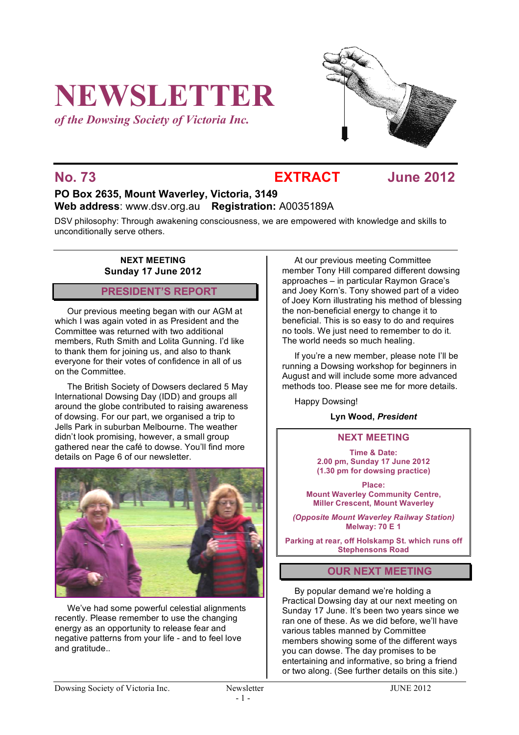# **NEWSLETTER**

*of the Dowsing Society of Victoria Inc.*



**No. 73 EXTRACT June 2012**

# **PO Box 2635, Mount Waverley, Victoria, 3149 Web address**: www.dsv.org.au **Registration:** A0035189A

DSV philosophy: Through awakening consciousness, we are empowered with knowledge and skills to unconditionally serve others.

#### **NEXT MEETING Sunday 17 June 2012**

# **PRESIDENT'S REPORT**

Our previous meeting began with our AGM at which I was again voted in as President and the Committee was returned with two additional members, Ruth Smith and Lolita Gunning. I'd like to thank them for joining us, and also to thank everyone for their votes of confidence in all of us on the Committee.

The British Society of Dowsers declared 5 May International Dowsing Day (IDD) and groups all around the globe contributed to raising awareness of dowsing. For our part, we organised a trip to Jells Park in suburban Melbourne. The weather didn't look promising, however, a small group gathered near the café to dowse. You'll find more details on Page 6 of our newsletter.



We've had some powerful celestial alignments recently. Please remember to use the changing energy as an opportunity to release fear and negative patterns from your life - and to feel love and gratitude..

At our previous meeting Committee member Tony Hill compared different dowsing approaches – in particular Raymon Grace's and Joey Korn's. Tony showed part of a video of Joey Korn illustrating his method of blessing the non-beneficial energy to change it to beneficial. This is so easy to do and requires no tools. We just need to remember to do it. The world needs so much healing.

If you're a new member, please note I'll be running a Dowsing workshop for beginners in August and will include some more advanced methods too. Please see me for more details.

Happy Dowsing!

### **Lyn Wood,** *President*

### **NEXT MEETING**

**Time & Date: 2.00 pm, Sunday 17 June 2012 (1.30 pm for dowsing practice)**

**Place: Mount Waverley Community Centre, Miller Crescent, Mount Waverley**

*(Opposite Mount Waverley Railway Station)* **Melway: 70 E 1**

**Parking at rear, off Holskamp St. which runs off Stephensons Road**

# **OUR NEXT MEETING**

By popular demand we're holding a Practical Dowsing day at our next meeting on Sunday 17 June. It's been two years since we ran one of these. As we did before, we'll have various tables manned by Committee members showing some of the different ways you can dowse. The day promises to be entertaining and informative, so bring a friend or two along. (See further details on this site.)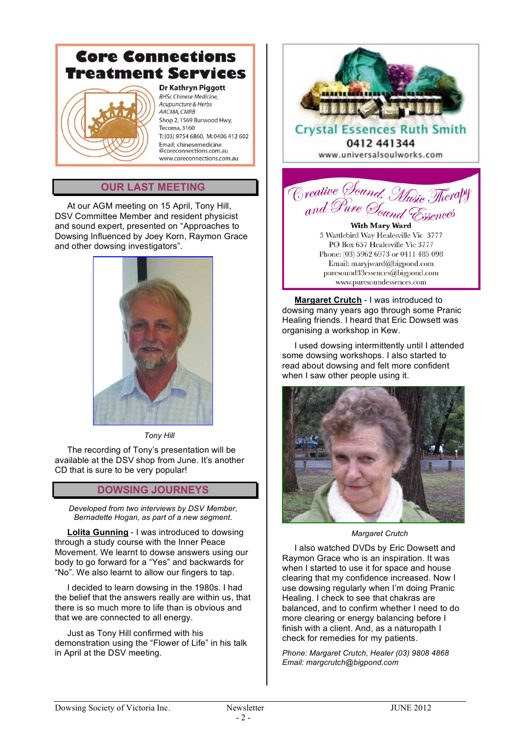#### **Core Connections Treatment Services Dr Kathryn Piggott BHSc Chinese Medicine,** Acupuncture & Herbs AACMA, CMRB Shop 2, 1569 Burwood Hwy, Tecoma, 3160 T: (03) 9754 6860 M: 0406 412 602 Email: chinesemedicine @coreconnections.com.au www.coreconnections.com.au

# **OUR LAST MEETING**

At our AGM meeting on 15 April, Tony Hill, DSV Committee Member and resident physicist and sound expert, presented on "Approaches to Dowsing Influenced by Joey Korn, Raymon Grace and other dowsing investigators".



*Tony Hill*

The recording of Tony's presentation will be available at the DSV shop from June. It's another CD that is sure to be very popular!

# **DOWSING JOURNEYS**

*Developed from two interviews by DSV Member, Bernadette Hogan, as part of a new segment.*

**Lolita Gunning** - I was introduced to dowsing through a study course with the Inner Peace Movement. We learnt to dowse answers using our body to go forward for a "Yes" and backwards for "No". We also learnt to allow our fingers to tap.

I decided to learn dowsing in the 1980s. I had the belief that the answers really are within us, that there is so much more to life than is obvious and that we are connected to all energy.

Just as Tony Hill confirmed with his demonstration using the "Flower of Life" in his talk in April at the DSV meeting.



**Crystal Essences** 0412 441344 www.universalsoulworks.com

Creative Sound, Music Therapy

**With Mary Ward** 5 Wattlebird Way Healesville Vic 3777 PO Box 657 Healesville Vic 3777 Phone: (03) 5962 6973 or 0411 485 098 Email: maryjward@bigpond.com  $puresound33$ essences@bigpond.com www.puresoundessences.com

**Margaret Crutch** - I was introduced to dowsing many years ago through some Pranic Healing friends. I heard that Eric Dowsett was organising a workshop in Kew.

I used dowsing intermittently until I attended some dowsing workshops. I also started to read about dowsing and felt more confident when I saw other people using it.



*Margaret Crutch*

I also watched DVDs by Eric Dowsett and Raymon Grace who is an inspiration. It was when I started to use it for space and house clearing that my confidence increased. Now I use dowsing regularly when I'm doing Pranic Healing. I check to see that chakras are balanced, and to confirm whether I need to do more clearing or energy balancing before I finish with a client. And, as a naturopath I check for remedies for my patients.

*Phone: Margaret Crutch, Healer (03) 9808 4868 Email: margcrutch@bigpond.com*